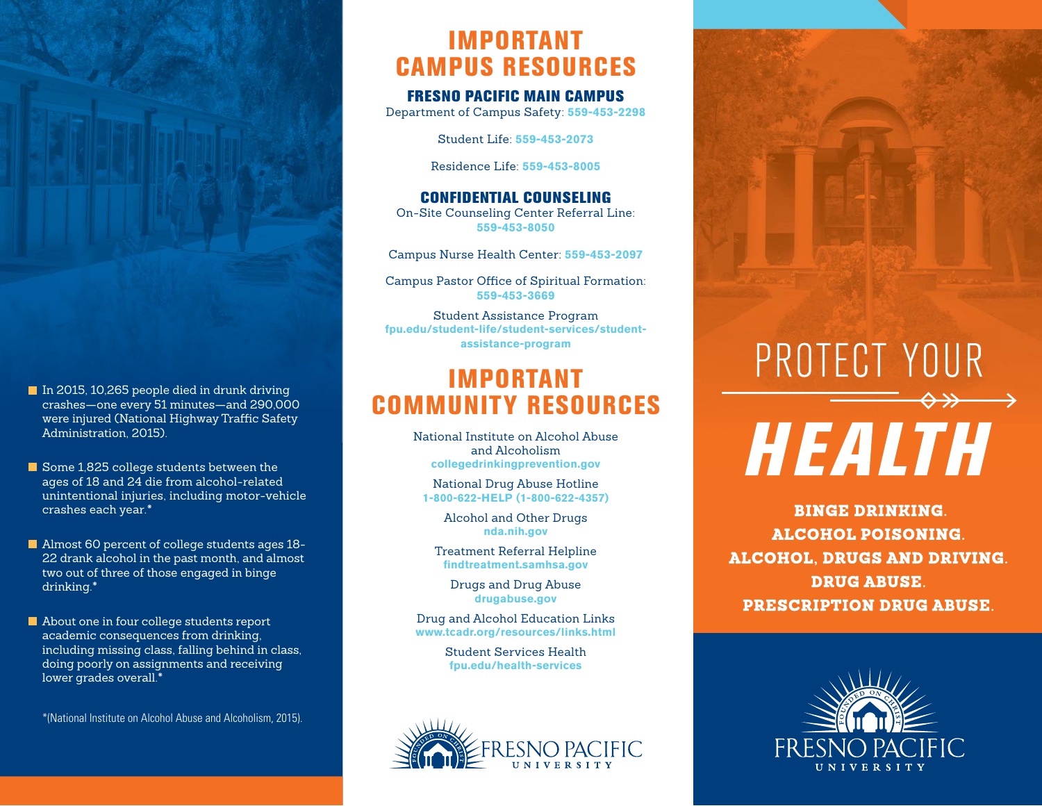- In 2015, 10,265 people died in drunk driving crashes—one every 51 minutes—and 290,000 were injured (National Highway Traffic Safety Administration, 2015).
- Some 1,825 college students between the ages of 18 and 24 die from alcohol-related unintentional injuries, including motor-vehicle crashes each year.\*
- Almost 60 percent of college students ages 18-22 drank alcohol in the past month, and almost two out of three of those engaged in binge drinking.\*
- About one in four college students report academic consequences from drinking, including missing class, falling behind in class, doing poorly on assignments and receiving lower grades overall.\*

\*(National Institute on Alcohol Abuse and Alcoholism, 2015).

### IMPORTANT CAMPUS RESOURCES

#### FRESNO PACIFIC MAIN CAMPUS

Department of Campus Safety: **559-453-2298**

Student Life: **559-453-2073**

Residence Life: **559-453-8005**

CONFIDENTIAL COUNSELING On-Site Counseling Center Referral Line: **559-453-8050**

Campus Nurse Health Center: **559-453-2097**

Campus Pastor Office of Spiritual Formation: **559-453-3669**

Student Assistance Program **fpu.edu/student-life/student-services/studentassistance-program**

### IMPORTANT COMMUNITY RESOURCES

National Institute on Alcohol Abuse and Alcoholism **collegedrinkingprevention.gov**

National Drug Abuse Hotline **1-800-622-HELP (1-800-622-4357)**

> Alcohol and Other Drugs **nda.nih.gov**

Treatment Referral Helpline **findtreatment.samhsa.gov**

Drugs and Drug Abuse **drugabuse.gov**

Drug and Alcohol Education Links **www.tcadr.org/resources/links.html**

> Student Services Health **fpu.edu/health-services**



# PROTECT YOUR HEALTH

**BINGE DRINKING. ALCOHOL POISONING. ALCOHOL, DRUGS AND DRIVING. DRUG ABUSE. PRESCRIPTION DRUG ABUSE.**